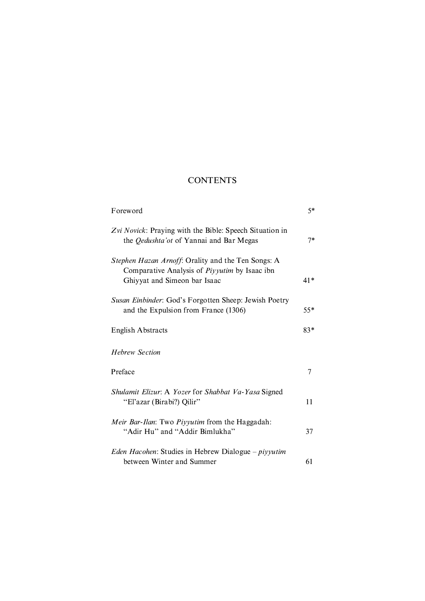## **CONTENTS**

| Foreword                                                                                                                            | $5*$  |
|-------------------------------------------------------------------------------------------------------------------------------------|-------|
| Zvi Novick: Praying with the Bible: Speech Situation in<br>the <i>Qedushta'ot</i> of Yannai and Bar Megas                           | $7*$  |
| Stephen Hazan Arnoff: Orality and the Ten Songs: A<br>Comparative Analysis of Piyyutim by Isaac ibn<br>Ghiyyat and Simeon bar Isaac | $41*$ |
| Susan Einbinder: God's Forgotten Sheep: Jewish Poetry<br>and the Expulsion from France (1306)                                       | $55*$ |
| <b>English Abstracts</b>                                                                                                            | $83*$ |
| <b>Hebrew Section</b>                                                                                                               |       |
| Preface                                                                                                                             | 7     |
| Shulamit Elizur: A Yozer for Shabbat Va-Yasa Signed<br>"El'azar (Birabi?) Qilir"                                                    | 11    |
| Meir Bar-Ilan: Two Piyyutim from the Haggadah:<br>"Adir Hu" and "Addir Bimlukha"                                                    | 37    |
| <i>Eden Hacohen</i> : Studies in Hebrew Dialogue – <i>piyyutim</i><br>between Winter and Summer                                     | 61    |